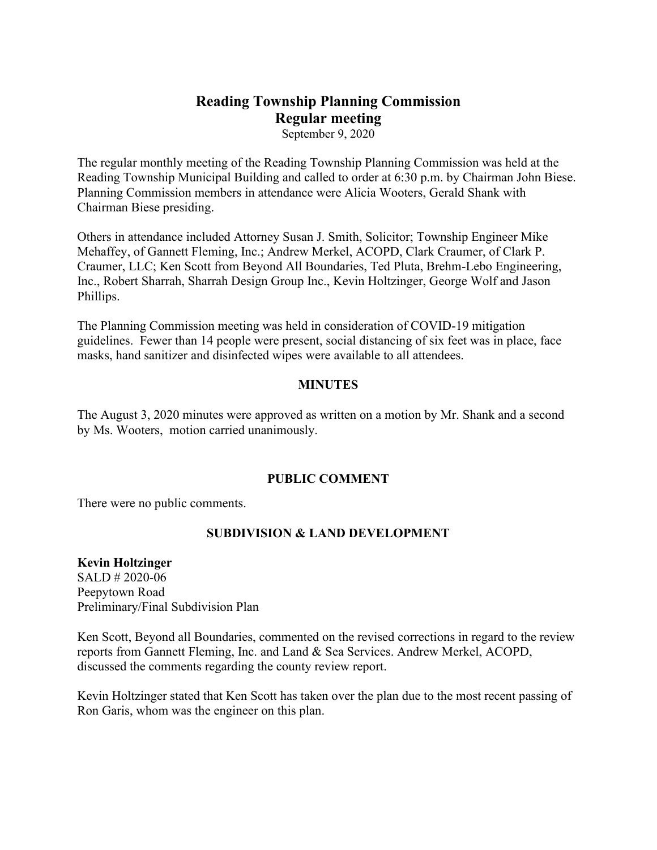# **Reading Township Planning Commission Regular meeting**

September 9, 2020

The regular monthly meeting of the Reading Township Planning Commission was held at the Reading Township Municipal Building and called to order at 6:30 p.m. by Chairman John Biese. Planning Commission members in attendance were Alicia Wooters, Gerald Shank with Chairman Biese presiding.

Others in attendance included Attorney Susan J. Smith, Solicitor; Township Engineer Mike Mehaffey, of Gannett Fleming, Inc.; Andrew Merkel, ACOPD, Clark Craumer, of Clark P. Craumer, LLC; Ken Scott from Beyond All Boundaries, Ted Pluta, Brehm-Lebo Engineering, Inc., Robert Sharrah, Sharrah Design Group Inc., Kevin Holtzinger, George Wolf and Jason Phillips.

The Planning Commission meeting was held in consideration of COVID-19 mitigation guidelines. Fewer than 14 people were present, social distancing of six feet was in place, face masks, hand sanitizer and disinfected wipes were available to all attendees.

# **MINUTES**

The August 3, 2020 minutes were approved as written on a motion by Mr. Shank and a second by Ms. Wooters, motion carried unanimously.

# **PUBLIC COMMENT**

There were no public comments.

# **SUBDIVISION & LAND DEVELOPMENT**

**Kevin Holtzinger** SALD # 2020-06 Peepytown Road Preliminary/Final Subdivision Plan

Ken Scott, Beyond all Boundaries, commented on the revised corrections in regard to the review reports from Gannett Fleming, Inc. and Land & Sea Services. Andrew Merkel, ACOPD, discussed the comments regarding the county review report.

Kevin Holtzinger stated that Ken Scott has taken over the plan due to the most recent passing of Ron Garis, whom was the engineer on this plan.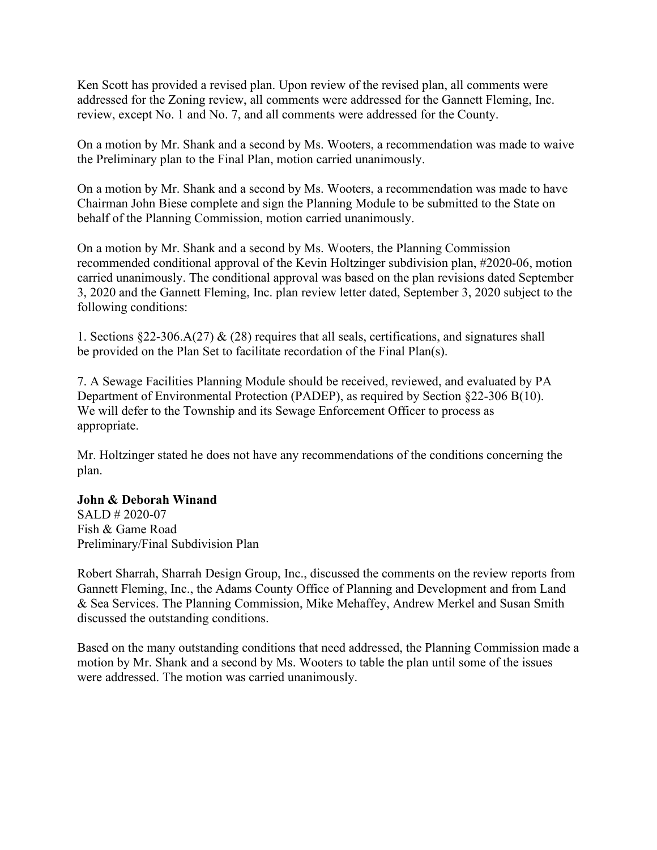Ken Scott has provided a revised plan. Upon review of the revised plan, all comments were addressed for the Zoning review, all comments were addressed for the Gannett Fleming, Inc. review, except No. 1 and No. 7, and all comments were addressed for the County.

On a motion by Mr. Shank and a second by Ms. Wooters, a recommendation was made to waive the Preliminary plan to the Final Plan, motion carried unanimously.

On a motion by Mr. Shank and a second by Ms. Wooters, a recommendation was made to have Chairman John Biese complete and sign the Planning Module to be submitted to the State on behalf of the Planning Commission, motion carried unanimously.

On a motion by Mr. Shank and a second by Ms. Wooters, the Planning Commission recommended conditional approval of the Kevin Holtzinger subdivision plan, #2020-06, motion carried unanimously. The conditional approval was based on the plan revisions dated September 3, 2020 and the Gannett Fleming, Inc. plan review letter dated, September 3, 2020 subject to the following conditions:

1. Sections  $\S22-306.A(27) & (28)$  requires that all seals, certifications, and signatures shall be provided on the Plan Set to facilitate recordation of the Final Plan(s).

7. A Sewage Facilities Planning Module should be received, reviewed, and evaluated by PA Department of Environmental Protection (PADEP), as required by Section §22-306 B(10). We will defer to the Township and its Sewage Enforcement Officer to process as appropriate.

Mr. Holtzinger stated he does not have any recommendations of the conditions concerning the plan.

# **John & Deborah Winand**

SALD # 2020-07 Fish & Game Road Preliminary/Final Subdivision Plan

Robert Sharrah, Sharrah Design Group, Inc., discussed the comments on the review reports from Gannett Fleming, Inc., the Adams County Office of Planning and Development and from Land & Sea Services. The Planning Commission, Mike Mehaffey, Andrew Merkel and Susan Smith discussed the outstanding conditions.

Based on the many outstanding conditions that need addressed, the Planning Commission made a motion by Mr. Shank and a second by Ms. Wooters to table the plan until some of the issues were addressed. The motion was carried unanimously.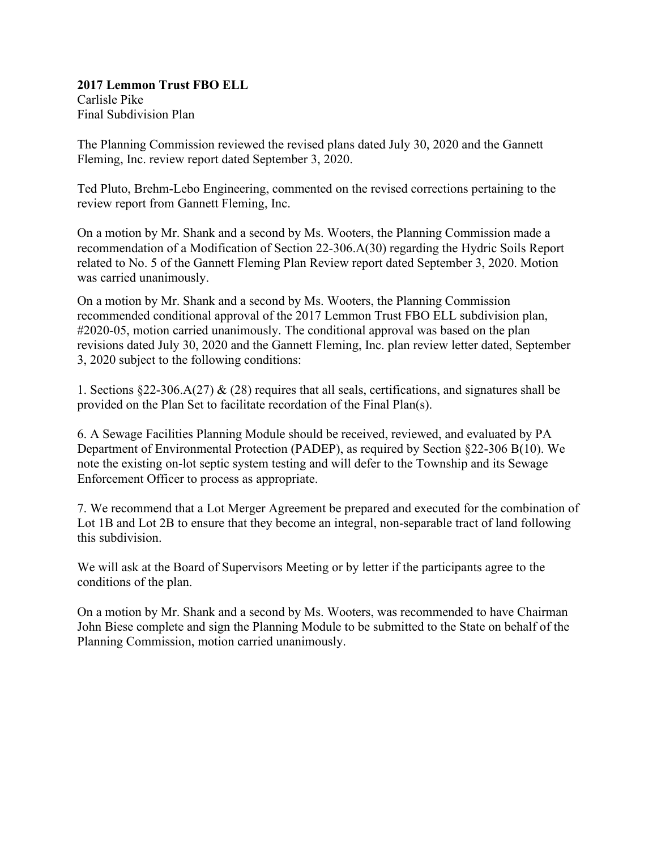#### **2017 Lemmon Trust FBO ELL** Carlisle Pike Final Subdivision Plan

The Planning Commission reviewed the revised plans dated July 30, 2020 and the Gannett Fleming, Inc. review report dated September 3, 2020.

Ted Pluto, Brehm-Lebo Engineering, commented on the revised corrections pertaining to the review report from Gannett Fleming, Inc.

On a motion by Mr. Shank and a second by Ms. Wooters, the Planning Commission made a recommendation of a Modification of Section 22-306.A(30) regarding the Hydric Soils Report related to No. 5 of the Gannett Fleming Plan Review report dated September 3, 2020. Motion was carried unanimously.

On a motion by Mr. Shank and a second by Ms. Wooters, the Planning Commission recommended conditional approval of the 2017 Lemmon Trust FBO ELL subdivision plan, #2020-05, motion carried unanimously. The conditional approval was based on the plan revisions dated July 30, 2020 and the Gannett Fleming, Inc. plan review letter dated, September 3, 2020 subject to the following conditions:

1. Sections §22-306.A(27) & (28) requires that all seals, certifications, and signatures shall be provided on the Plan Set to facilitate recordation of the Final Plan(s).

6. A Sewage Facilities Planning Module should be received, reviewed, and evaluated by PA Department of Environmental Protection (PADEP), as required by Section §22-306 B(10). We note the existing on-lot septic system testing and will defer to the Township and its Sewage Enforcement Officer to process as appropriate.

7. We recommend that a Lot Merger Agreement be prepared and executed for the combination of Lot 1B and Lot 2B to ensure that they become an integral, non-separable tract of land following this subdivision.

We will ask at the Board of Supervisors Meeting or by letter if the participants agree to the conditions of the plan.

On a motion by Mr. Shank and a second by Ms. Wooters, was recommended to have Chairman John Biese complete and sign the Planning Module to be submitted to the State on behalf of the Planning Commission, motion carried unanimously.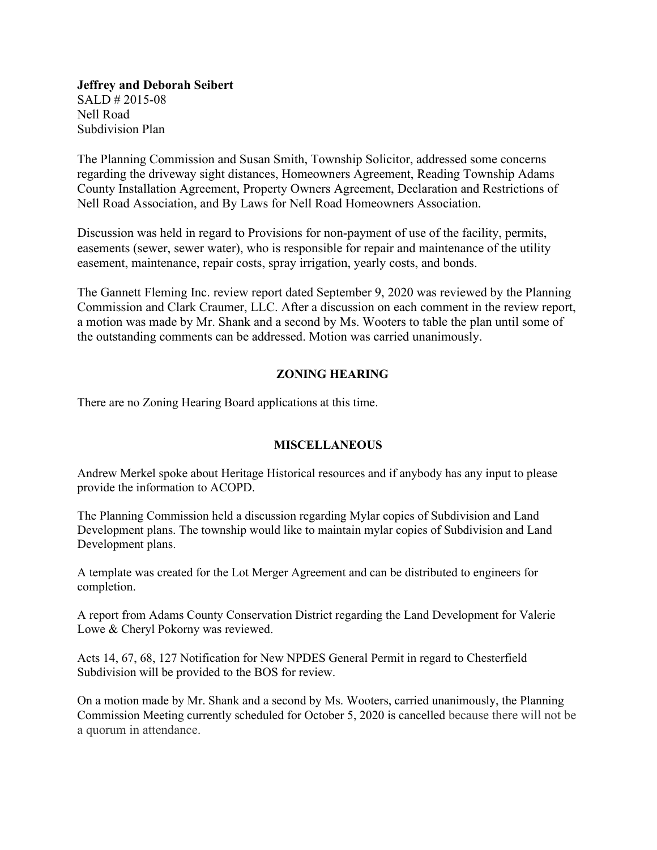**Jeffrey and Deborah Seibert** SALD # 2015-08 Nell Road Subdivision Plan

The Planning Commission and Susan Smith, Township Solicitor, addressed some concerns regarding the driveway sight distances, Homeowners Agreement, Reading Township Adams County Installation Agreement, Property Owners Agreement, Declaration and Restrictions of Nell Road Association, and By Laws for Nell Road Homeowners Association.

Discussion was held in regard to Provisions for non-payment of use of the facility, permits, easements (sewer, sewer water), who is responsible for repair and maintenance of the utility easement, maintenance, repair costs, spray irrigation, yearly costs, and bonds.

The Gannett Fleming Inc. review report dated September 9, 2020 was reviewed by the Planning Commission and Clark Craumer, LLC. After a discussion on each comment in the review report, a motion was made by Mr. Shank and a second by Ms. Wooters to table the plan until some of the outstanding comments can be addressed. Motion was carried unanimously.

# **ZONING HEARING**

There are no Zoning Hearing Board applications at this time.

# **MISCELLANEOUS**

Andrew Merkel spoke about Heritage Historical resources and if anybody has any input to please provide the information to ACOPD.

The Planning Commission held a discussion regarding Mylar copies of Subdivision and Land Development plans. The township would like to maintain mylar copies of Subdivision and Land Development plans.

A template was created for the Lot Merger Agreement and can be distributed to engineers for completion.

A report from Adams County Conservation District regarding the Land Development for Valerie Lowe & Cheryl Pokorny was reviewed.

Acts 14, 67, 68, 127 Notification for New NPDES General Permit in regard to Chesterfield Subdivision will be provided to the BOS for review.

On a motion made by Mr. Shank and a second by Ms. Wooters, carried unanimously, the Planning Commission Meeting currently scheduled for October 5, 2020 is cancelled because there will not be a quorum in attendance.